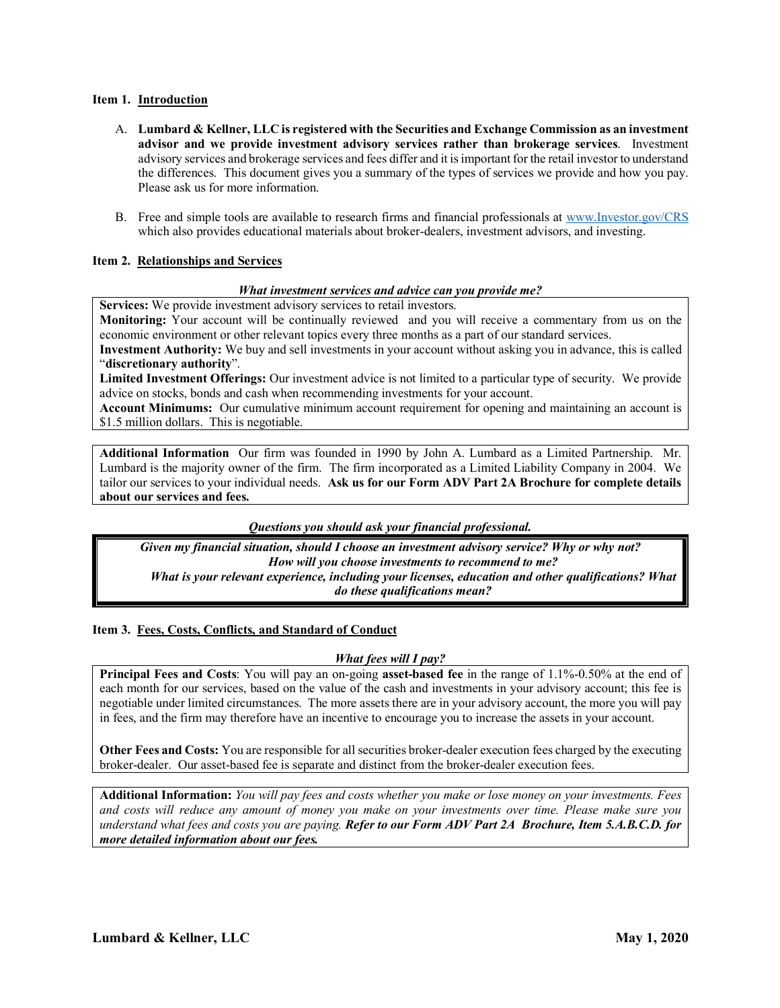# **Item 1. Introduction**

- A. **Lumbard & Kellner, LLC is registered with the Securities and Exchange Commission as an investment advisor and we provide investment advisory services rather than brokerage services**. Investment advisory services and brokerage services and fees differ and it is important for the retail investor to understand the differences. This document gives you a summary of the types of services we provide and how you pay. Please ask us for more information.
- B. Free and simple tools are available to research firms and financial professionals at www.Investor.gov/CRS which also provides educational materials about broker-dealers, investment advisors, and investing.

# **Item 2. Relationships and Services**

#### *What investment services and advice can you provide me?*

**Services:** We provide investment advisory services to retail investors.

**Monitoring:** Your account will be continually reviewedand you will receive a commentary from us on the economic environment or other relevant topics every three months as a part of our standard services.

**Investment Authority:** We buy and sell investments in your account without asking you in advance, this is called "**discretionary authority**".

**Limited Investment Offerings:** Our investment advice is not limited to a particular type of security. We provide advice on stocks, bonds and cash when recommending investments for your account.

**Account Minimums:** Our cumulative minimum account requirement for opening and maintaining an account is \$1.5 million dollars. This is negotiable.

**Additional Information** Our firm was founded in 1990 by John A. Lumbard as a Limited Partnership. Mr. Lumbard is the majority owner of the firm. The firm incorporated as a Limited Liability Company in 2004. We tailor our services to your individual needs. **Ask us for our Form ADV Part 2A Brochure for complete details about our services and fees.**

*Questions you should ask your financial professional.*

*Given my financial situation, should I choose an investment advisory service? Why or why not? How will you choose investments to recommend to me? What is your relevant experience, including your licenses, education and other qualifications? What do these qualifications mean?*

# **Item 3. Fees, Costs, Conflicts, and Standard of Conduct**

#### *What fees will I pay?*

**Principal Fees and Costs:** You will pay an on-going **asset-based fee** in the range of 1.1%-0.50% at the end of each month for our services, based on the value of the cash and investments in your advisory account; this fee is negotiable under limited circumstances. The more assets there are in your advisory account, the more you will pay in fees, and the firm may therefore have an incentive to encourage you to increase the assets in your account.

**Other Fees and Costs:** You are responsible for all securities broker-dealer execution fees charged by the executing broker-dealer. Our asset-based fee is separate and distinct from the broker-dealer execution fees.

**Additional Information:** *You will pay fees and costs whether you make or lose money on your investments. Fees and costs will reduce any amount of money you make on your investments over time. Please make sure you understand what fees and costs you are paying. Refer to our Form ADV Part 2A Brochure, Item 5.A.B.C.D. for more detailed information about our fees.*